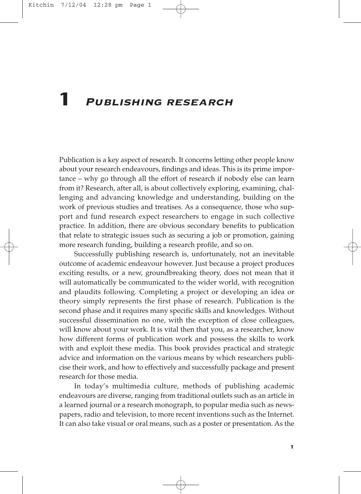# **1** Publishing research

Publication is a key aspect of research. It concerns letting other people know about your research endeavours, findings and ideas. This is its prime importance – why go through all the effort of research if nobody else can learn from it? Research, after all, is about collectively exploring, examining, challenging and advancing knowledge and understanding, building on the work of previous studies and treatises. As a consequence, those who support and fund research expect researchers to engage in such collective practice. In addition, there are obvious secondary benefits to publication that relate to strategic issues such as securing a job or promotion, gaining more research funding, building a research profile, and so on.

Successfully publishing research is, unfortunately, not an inevitable outcome of academic endeavour however. Just because a project produces exciting results, or a new, groundbreaking theory, does not mean that it will automatically be communicated to the wider world, with recognition and plaudits following. Completing a project or developing an idea or theory simply represents the first phase of research. Publication is the second phase and it requires many specific skills and knowledges. Without successful dissemination no one, with the exception of close colleagues, will know about your work. It is vital then that you, as a researcher, know how different forms of publication work and possess the skills to work with and exploit these media. This book provides practical and strategic advice and information on the various means by which researchers publicise their work, and how to effectively and successfully package and present research for those media.

In today's multimedia culture, methods of publishing academic endeavours are diverse, ranging from traditional outlets such as an article in a learned journal or a research monograph, to popular media such as newspapers, radio and television, to more recent inventions such as the Internet. It can also take visual or oral means, such as a poster or presentation. As the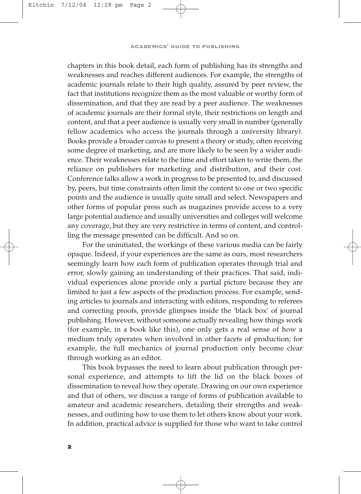chapters in this book detail, each form of publishing has its strengths and weaknesses and reaches different audiences. For example, the strengths of academic journals relate to their high quality, assured by peer review, the fact that institutions recognize them as the most valuable or worthy form of dissemination, and that they are read by a peer audience. The weaknesses of academic journals are their formal style, their restrictions on length and content, and that a peer audience is usually very small in number (generally fellow academics who access the journals through a university library). Books provide a broader canvas to present a theory or study, often receiving some degree of marketing, and are more likely to be seen by a wider audience. Their weaknesses relate to the time and effort taken to write them, the reliance on publishers for marketing and distribution, and their cost. Conference talks allow a work in progress to be presented to, and discussed by, peers, but time constraints often limit the content to one or two specific points and the audience is usually quite small and select. Newspapers and other forms of popular press such as magazines provide access to a very large potential audience and usually universities and colleges will welcome any coverage, but they are very restrictive in terms of content, and controlling the message presented can be difficult. And so on.

For the uninitiated, the workings of these various media can be fairly opaque. Indeed, if your experiences are the same as ours, most researchers seemingly learn how each form of publication operates through trial and error, slowly gaining an understanding of their practices. That said, individual experiences alone provide only a partial picture because they are limited to just a few aspects of the production process. For example, sending articles to journals and interacting with editors, responding to referees and correcting proofs, provide glimpses inside the 'black box' of journal publishing. However, without someone actually revealing how things work (for example, in a book like this), one only gets a real sense of how a medium truly operates when involved in other facets of production; for example, the full mechanics of journal production only become clear through working as an editor.

This book bypasses the need to learn about publication through personal experience, and attempts to lift the lid on the black boxes of dissemination to reveal how they operate. Drawing on our own experience and that of others, we discuss a range of forms of publication available to amateur and academic researchers, detailing their strengths and weaknesses, and outlining how to use them to let others know about your work. In addition, practical advice is supplied for those who want to take control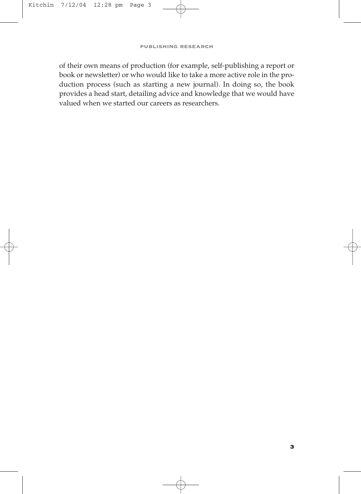### publishing research

of their own means of production (for example, self-publishing a report or book or newsletter) or who would like to take a more active role in the production process (such as starting a new journal). In doing so, the book provides a head start, detailing advice and knowledge that we would have valued when we started our careers as researchers.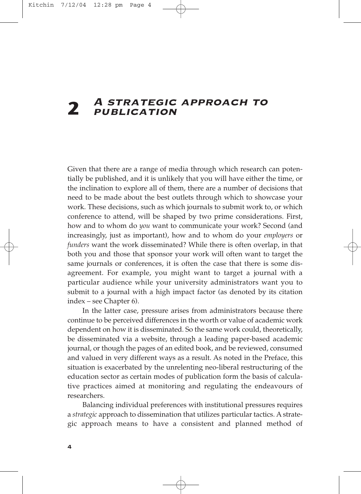## **2** A strategic approach to **PUBLICATION**

Given that there are a range of media through which research can potentially be published, and it is unlikely that you will have either the time, or the inclination to explore all of them, there are a number of decisions that need to be made about the best outlets through which to showcase your work. These decisions, such as which journals to submit work to, or which conference to attend, will be shaped by two prime considerations. First, how and to whom do *you* want to communicate your work? Second (and increasingly, just as important), how and to whom do your *employers* or *funders* want the work disseminated? While there is often overlap, in that both you and those that sponsor your work will often want to target the same journals or conferences, it is often the case that there is some disagreement. For example, you might want to target a journal with a particular audience while your university administrators want you to submit to a journal with a high impact factor (as denoted by its citation index – see Chapter 6).

In the latter case, pressure arises from administrators because there continue to be perceived differences in the worth or value of academic work dependent on how it is disseminated. So the same work could, theoretically, be disseminated via a website, through a leading paper-based academic journal, or though the pages of an edited book, and be reviewed, consumed and valued in very different ways as a result. As noted in the Preface, this situation is exacerbated by the unrelenting neo-liberal restructuring of the education sector as certain modes of publication form the basis of calculative practices aimed at monitoring and regulating the endeavours of researchers.

Balancing individual preferences with institutional pressures requires a *strategic* approach to dissemination that utilizes particular tactics. A strategic approach means to have a consistent and planned method of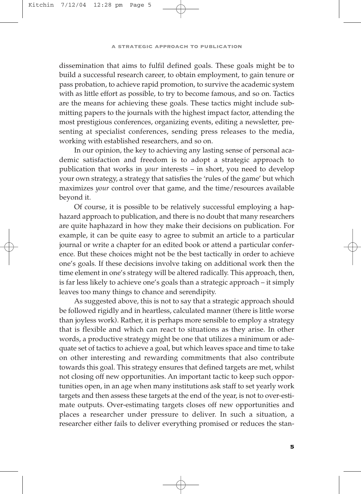dissemination that aims to fulfil defined goals. These goals might be to build a successful research career, to obtain employment, to gain tenure or pass probation, to achieve rapid promotion, to survive the academic system with as little effort as possible, to try to become famous, and so on. Tactics are the means for achieving these goals. These tactics might include submitting papers to the journals with the highest impact factor, attending the most prestigious conferences, organizing events, editing a newsletter, presenting at specialist conferences, sending press releases to the media, working with established researchers, and so on.

In our opinion, the key to achieving any lasting sense of personal academic satisfaction and freedom is to adopt a strategic approach to publication that works in *your* interests – in short, you need to develop your own strategy, a strategy that satisfies the 'rules of the game' but which maximizes *your* control over that game, and the time/resources available beyond it.

Of course, it is possible to be relatively successful employing a haphazard approach to publication, and there is no doubt that many researchers are quite haphazard in how they make their decisions on publication. For example, it can be quite easy to agree to submit an article to a particular journal or write a chapter for an edited book or attend a particular conference. But these choices might not be the best tactically in order to achieve one's goals. If these decisions involve taking on additional work then the time element in one's strategy will be altered radically. This approach, then, is far less likely to achieve one's goals than a strategic approach – it simply leaves too many things to chance and serendipity.

As suggested above, this is not to say that a strategic approach should be followed rigidly and in heartless, calculated manner (there is little worse than joyless work). Rather, it is perhaps more sensible to employ a strategy that is flexible and which can react to situations as they arise. In other words, a productive strategy might be one that utilizes a minimum or adequate set of tactics to achieve a goal, but which leaves space and time to take on other interesting and rewarding commitments that also contribute towards this goal. This strategy ensures that defined targets are met, whilst not closing off new opportunities. An important tactic to keep such opportunities open, in an age when many institutions ask staff to set yearly work targets and then assess these targets at the end of the year, is not to over-estimate outputs. Over-estimating targets closes off new opportunities and places a researcher under pressure to deliver. In such a situation, a researcher either fails to deliver everything promised or reduces the stan-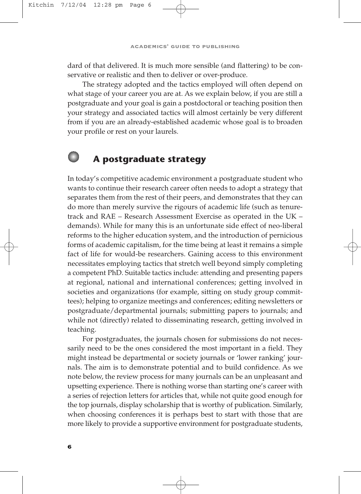dard of that delivered. It is much more sensible (and flattering) to be conservative or realistic and then to deliver or over-produce.

The strategy adopted and the tactics employed will often depend on what stage of your career you are at. As we explain below, if you are still a postgraduate and your goal is gain a postdoctoral or teaching position then your strategy and associated tactics will almost certainly be very different from if you are an already-established academic whose goal is to broaden your profile or rest on your laurels.

# **A postgraduate strategy**

In today's competitive academic environment a postgraduate student who wants to continue their research career often needs to adopt a strategy that separates them from the rest of their peers, and demonstrates that they can do more than merely survive the rigours of academic life (such as tenuretrack and RAE – Research Assessment Exercise as operated in the UK – demands). While for many this is an unfortunate side effect of neo-liberal reforms to the higher education system, and the introduction of pernicious forms of academic capitalism, for the time being at least it remains a simple fact of life for would-be researchers. Gaining access to this environment necessitates employing tactics that stretch well beyond simply completing a competent PhD. Suitable tactics include: attending and presenting papers at regional, national and international conferences; getting involved in societies and organizations (for example, sitting on study group committees); helping to organize meetings and conferences; editing newsletters or postgraduate/departmental journals; submitting papers to journals; and while not (directly) related to disseminating research, getting involved in teaching.

For postgraduates, the journals chosen for submissions do not necessarily need to be the ones considered the most important in a field. They might instead be departmental or society journals or 'lower ranking' journals. The aim is to demonstrate potential and to build confidence. As we note below, the review process for many journals can be an unpleasant and upsetting experience. There is nothing worse than starting one's career with a series of rejection letters for articles that, while not quite good enough for the top journals, display scholarship that is worthy of publication. Similarly, when choosing conferences it is perhaps best to start with those that are more likely to provide a supportive environment for postgraduate students,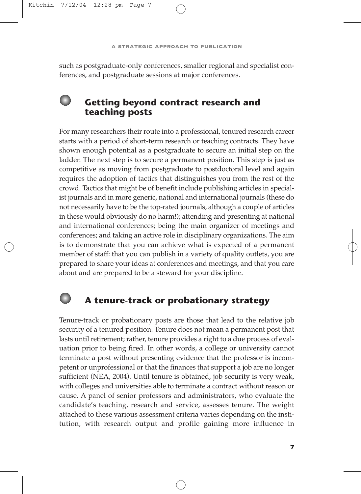such as postgraduate-only conferences, smaller regional and specialist conferences, and postgraduate sessions at major conferences.

## **Getting beyond contract research and teaching posts**

For many researchers their route into a professional, tenured research career starts with a period of short-term research or teaching contracts. They have shown enough potential as a postgraduate to secure an initial step on the ladder. The next step is to secure a permanent position. This step is just as competitive as moving from postgraduate to postdoctoral level and again requires the adoption of tactics that distinguishes you from the rest of the crowd. Tactics that might be of benefit include publishing articles in specialist journals and in more generic, national and international journals (these do not necessarily have to be the top-rated journals, although a couple of articles in these would obviously do no harm!); attending and presenting at national and international conferences; being the main organizer of meetings and conferences; and taking an active role in disciplinary organizations. The aim is to demonstrate that you can achieve what is expected of a permanent member of staff: that you can publish in a variety of quality outlets, you are prepared to share your ideas at conferences and meetings, and that you care about and are prepared to be a steward for your discipline.

# **A tenure-track or probationary strategy**

Tenure-track or probationary posts are those that lead to the relative job security of a tenured position. Tenure does not mean a permanent post that lasts until retirement; rather, tenure provides a right to a due process of evaluation prior to being fired. In other words, a college or university cannot terminate a post without presenting evidence that the professor is incompetent or unprofessional or that the finances that support a job are no longer sufficient (NEA, 2004). Until tenure is obtained, job security is very weak, with colleges and universities able to terminate a contract without reason or cause. A panel of senior professors and administrators, who evaluate the candidate's teaching, research and service, assesses tenure. The weight attached to these various assessment criteria varies depending on the institution, with research output and profile gaining more influence in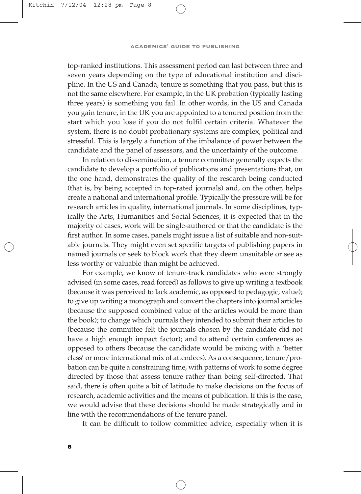top-ranked institutions. This assessment period can last between three and seven years depending on the type of educational institution and discipline. In the US and Canada, tenure is something that you pass, but this is not the same elsewhere. For example, in the UK probation (typically lasting three years) is something you fail. In other words, in the US and Canada you gain tenure, in the UK you are appointed to a tenured position from the start which you lose if you do not fulfil certain criteria. Whatever the system, there is no doubt probationary systems are complex, political and stressful. This is largely a function of the imbalance of power between the candidate and the panel of assessors, and the uncertainty of the outcome.

In relation to dissemination, a tenure committee generally expects the candidate to develop a portfolio of publications and presentations that, on the one hand, demonstrates the quality of the research being conducted (that is, by being accepted in top-rated journals) and, on the other, helps create a national and international profile. Typically the pressure will be for research articles in quality, international journals. In some disciplines, typically the Arts, Humanities and Social Sciences, it is expected that in the majority of cases, work will be single-authored or that the candidate is the first author. In some cases, panels might issue a list of suitable and non-suitable journals. They might even set specific targets of publishing papers in named journals or seek to block work that they deem unsuitable or see as less worthy or valuable than might be achieved.

For example, we know of tenure-track candidates who were strongly advised (in some cases, read forced) as follows to give up writing a textbook (because it was perceived to lack academic, as opposed to pedagogic, value); to give up writing a monograph and convert the chapters into journal articles (because the supposed combined value of the articles would be more than the book); to change which journals they intended to submit their articles to (because the committee felt the journals chosen by the candidate did not have a high enough impact factor); and to attend certain conferences as opposed to others (because the candidate would be mixing with a 'better class' or more international mix of attendees). As a consequence, tenure/probation can be quite a constraining time, with patterns of work to some degree directed by those that assess tenure rather than being self-directed. That said, there is often quite a bit of latitude to make decisions on the focus of research, academic activities and the means of publication. If this is the case, we would advise that these decisions should be made strategically and in line with the recommendations of the tenure panel.

It can be difficult to follow committee advice, especially when it is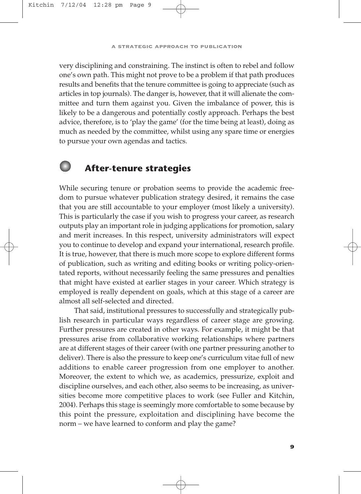very disciplining and constraining. The instinct is often to rebel and follow one's own path. This might not prove to be a problem if that path produces results and benefits that the tenure committee is going to appreciate (such as articles in top journals). The danger is, however, that it will alienate the committee and turn them against you. Given the imbalance of power, this is likely to be a dangerous and potentially costly approach. Perhaps the best advice, therefore, is to 'play the game' (for the time being at least), doing as much as needed by the committee, whilst using any spare time or energies to pursue your own agendas and tactics.

# **After-tenure strategies**

While securing tenure or probation seems to provide the academic freedom to pursue whatever publication strategy desired, it remains the case that you are still accountable to your employer (most likely a university). This is particularly the case if you wish to progress your career, as research outputs play an important role in judging applications for promotion, salary and merit increases. In this respect, university administrators will expect you to continue to develop and expand your international, research profile. It is true, however, that there is much more scope to explore different forms of publication, such as writing and editing books or writing policy-orientated reports, without necessarily feeling the same pressures and penalties that might have existed at earlier stages in your career. Which strategy is employed is really dependent on goals, which at this stage of a career are almost all self-selected and directed.

That said, institutional pressures to successfully and strategically publish research in particular ways regardless of career stage are growing. Further pressures are created in other ways. For example, it might be that pressures arise from collaborative working relationships where partners are at different stages of their career (with one partner pressuring another to deliver). There is also the pressure to keep one's curriculum vitae full of new additions to enable career progression from one employer to another. Moreover, the extent to which we, as academics, pressurize, exploit and discipline ourselves, and each other, also seems to be increasing, as universities become more competitive places to work (see Fuller and Kitchin, 2004). Perhaps this stage is seemingly more comfortable to some because by this point the pressure, exploitation and disciplining have become the norm – we have learned to conform and play the game?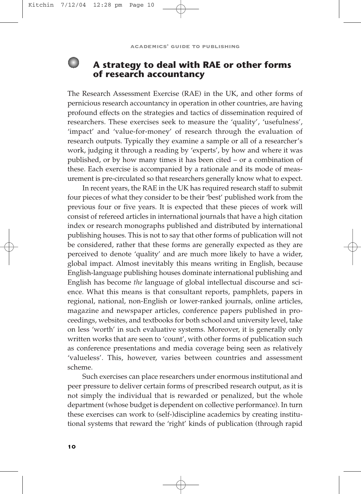

## **A strategy to deal with RAE or other forms of research accountancy**

The Research Assessment Exercise (RAE) in the UK, and other forms of pernicious research accountancy in operation in other countries, are having profound effects on the strategies and tactics of dissemination required of researchers. These exercises seek to measure the 'quality', 'usefulness', 'impact' and 'value-for-money' of research through the evaluation of research outputs. Typically they examine a sample or all of a researcher's work, judging it through a reading by 'experts', by how and where it was published, or by how many times it has been cited – or a combination of these. Each exercise is accompanied by a rationale and its mode of measurement is pre-circulated so that researchers generally know what to expect.

In recent years, the RAE in the UK has required research staff to submit four pieces of what they consider to be their 'best' published work from the previous four or five years. It is expected that these pieces of work will consist of refereed articles in international journals that have a high citation index or research monographs published and distributed by international publishing houses. This is not to say that other forms of publication will not be considered, rather that these forms are generally expected as they are perceived to denote 'quality' and are much more likely to have a wider, global impact. Almost inevitably this means writing in English, because English-language publishing houses dominate international publishing and English has become *the* language of global intellectual discourse and science. What this means is that consultant reports, pamphlets, papers in regional, national, non-English or lower-ranked journals, online articles, magazine and newspaper articles, conference papers published in proceedings, websites, and textbooks for both school and university level, take on less 'worth' in such evaluative systems. Moreover, it is generally only written works that are seen to 'count', with other forms of publication such as conference presentations and media coverage being seen as relatively 'valueless'. This, however, varies between countries and assessment scheme.

Such exercises can place researchers under enormous institutional and peer pressure to deliver certain forms of prescribed research output, as it is not simply the individual that is rewarded or penalized, but the whole department (whose budget is dependent on collective performance). In turn these exercises can work to (self-)discipline academics by creating institutional systems that reward the 'right' kinds of publication (through rapid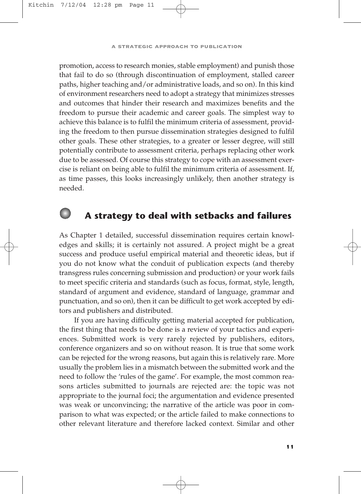promotion, access to research monies, stable employment) and punish those that fail to do so (through discontinuation of employment, stalled career paths, higher teaching and/or administrative loads, and so on). In this kind of environment researchers need to adopt a strategy that minimizes stresses and outcomes that hinder their research and maximizes benefits and the freedom to pursue their academic and career goals. The simplest way to achieve this balance is to fulfil the minimum criteria of assessment, providing the freedom to then pursue dissemination strategies designed to fulfil other goals. These other strategies, to a greater or lesser degree, will still potentially contribute to assessment criteria, perhaps replacing other work due to be assessed. Of course this strategy to cope with an assessment exercise is reliant on being able to fulfil the minimum criteria of assessment. If, as time passes, this looks increasingly unlikely, then another strategy is needed.

## **A strategy to deal with setbacks and failures**

As Chapter 1 detailed, successful dissemination requires certain knowledges and skills; it is certainly not assured. A project might be a great success and produce useful empirical material and theoretic ideas, but if you do not know what the conduit of publication expects (and thereby transgress rules concerning submission and production) or your work fails to meet specific criteria and standards (such as focus, format, style, length, standard of argument and evidence, standard of language, grammar and punctuation, and so on), then it can be difficult to get work accepted by editors and publishers and distributed.

If you are having difficulty getting material accepted for publication, the first thing that needs to be done is a review of your tactics and experiences. Submitted work is very rarely rejected by publishers, editors, conference organizers and so on without reason. It is true that some work can be rejected for the wrong reasons, but again this is relatively rare. More usually the problem lies in a mismatch between the submitted work and the need to follow the 'rules of the game'. For example, the most common reasons articles submitted to journals are rejected are: the topic was not appropriate to the journal foci; the argumentation and evidence presented was weak or unconvincing; the narrative of the article was poor in comparison to what was expected; or the article failed to make connections to other relevant literature and therefore lacked context. Similar and other